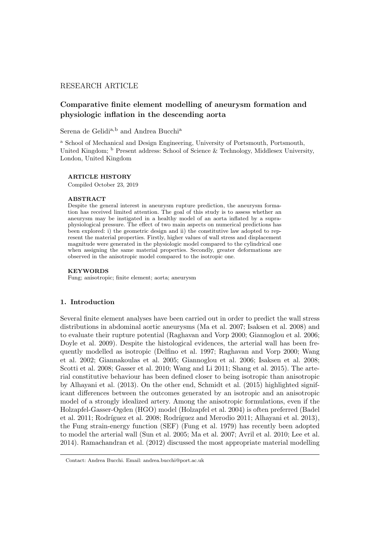# RESEARCH ARTICLE

# Comparative finite element modelling of aneurysm formation and physiologic inflation in the descending aorta

Serena de Gelidi $a,b$  and Andrea Bucchi $^{\rm a}$ 

<sup>a</sup> School of Mechanical and Design Engineering, University of Portsmouth, Portsmouth, United Kingdom; <sup>b</sup> Present address: School of Science & Technology, Middlesex University, London, United Kingdom

#### ARTICLE HISTORY

Compiled October 23, 2019

#### ABSTRACT

Despite the general interest in aneurysm rupture prediction, the aneurysm formation has received limited attention. The goal of this study is to assess whether an aneurysm may be instigated in a healthy model of an aorta inflated by a supraphysiological pressure. The effect of two main aspects on numerical predictions has been explored: i) the geometric design and ii) the constitutive law adopted to represent the material properties. Firstly, higher values of wall stress and displacement magnitude were generated in the physiologic model compared to the cylindrical one when assigning the same material properties. Secondly, greater deformations are observed in the anisotropic model compared to the isotropic one.

#### KEYWORDS

Fung; anisotropic; finite element; aorta; aneurysm

## 1. Introduction

Several finite element analyses have been carried out in order to predict the wall stress distributions in abdominal aortic aneurysms [\(Ma et al. 2007;](#page-23-0) [Isaksen et al. 2008\)](#page-23-1) and to evaluate their rupture potential [\(Raghavan and Vorp 2000;](#page-24-0) [Giannoglou et al. 2006;](#page-23-2) [Doyle et al. 2009\)](#page-22-0). Despite the histological evidences, the arterial wall has been frequently modelled as isotropic [\(Delfino et al. 1997;](#page-22-1) [Raghavan and Vorp 2000;](#page-24-0) [Wang](#page-25-0) [et al. 2002;](#page-25-0) [Giannakoulas et al. 2005;](#page-22-2) [Giannoglou et al. 2006;](#page-23-2) [Isaksen et al. 2008;](#page-23-1) [Scotti et al. 2008;](#page-24-1) [Gasser et al. 2010;](#page-22-3) [Wang and Li 2011;](#page-25-1) [Shang et al. 2015\)](#page-24-2). The arterial constitutive behaviour has been defined closer to being isotropic than anisotropic by [Alhayani et al.](#page-21-0) [\(2013\)](#page-21-0). On the other end, [Schmidt et al.](#page-24-3) [\(2015\)](#page-24-3) highlighted significant differences between the outcomes generated by an isotropic and an anisotropic model of a strongly idealized artery. Among the anisotropic formulations, even if the Holzapfel-Gasser-Ogden (HGO) model [\(Holzapfel et al. 2004\)](#page-23-3) is often preferred [\(Badel](#page-21-1) [et al. 2011;](#page-21-1) Rodríguez et al. 2008; Rodríguez and Merodio 2011; [Alhayani et al. 2013\)](#page-21-0), the Fung strain-energy function (SEF) [\(Fung et al. 1979\)](#page-22-4) has recently been adopted to model the arterial wall [\(Sun et al. 2005;](#page-25-2) [Ma et al. 2007;](#page-23-0) [Avril et al. 2010;](#page-21-2) [Lee et al.](#page-23-4) [2014\)](#page-23-4). [Ramachandran et al.](#page-24-6) [\(2012\)](#page-24-6) discussed the most appropriate material modelling

Contact: Andrea Bucchi. Email: andrea.bucchi@port.ac.uk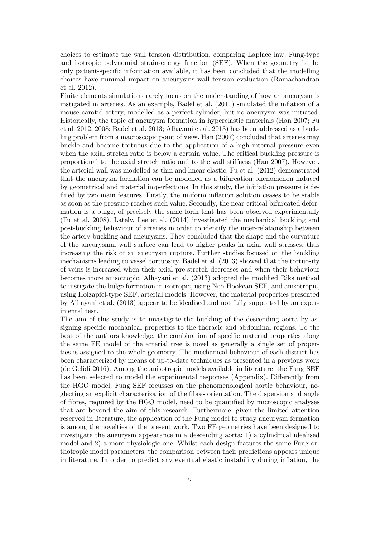choices to estimate the wall tension distribution, comparing Laplace law, Fung-type and isotropic polynomial strain-energy function (SEF). When the geometry is the only patient-specific information available, it has been concluded that the modelling choices have minimal impact on aneurysms wall tension evaluation [\(Ramachandran](#page-24-6) [et al. 2012\)](#page-24-6).

Finite elements simulations rarely focus on the understanding of how an aneurysm is instigated in arteries. As an example, [Badel et al.](#page-21-1) [\(2011\)](#page-21-1) simulated the inflation of a mouse carotid artery, modelled as a perfect cylinder, but no aneurysm was initiated. Historically, the topic of aneurysm formation in hyperelastic materials [\(Han 2007;](#page-23-5) [Fu](#page-22-5) [et al. 2012,](#page-22-5) [2008;](#page-22-6) [Badel et al. 2013;](#page-21-3) [Alhayani et al. 2013\)](#page-21-0) has been addressed as a buckling problem from a macroscopic point of view. [Han](#page-23-5) [\(2007\)](#page-23-5) concluded that arteries may buckle and become tortuous due to the application of a high internal pressure even when the axial stretch ratio is below a certain value. The critical buckling pressure is proportional to the axial stretch ratio and to the wall stiffness [\(Han 2007\)](#page-23-5). However, the arterial wall was modelled as thin and linear elastic. [Fu et al.](#page-22-5) [\(2012\)](#page-22-5) demonstrated that the aneurysm formation can be modelled as a bifurcation phenomenon induced by geometrical and material imperfections. In this study, the initiation pressure is defined by two main features. Firstly, the uniform inflation solution ceases to be stable as soon as the pressure reaches such value. Secondly, the near-critical bifurcated deformation is a bulge, of precisely the same form that has been observed experimentally [\(Fu et al. 2008\)](#page-22-6). Lately, [Lee et al.](#page-23-4) [\(2014\)](#page-23-4) investigated the mechanical buckling and post-buckling behaviour of arteries in order to identify the inter-relationship between the artery buckling and aneurysms. They concluded that the shape and the curvature of the aneurysmal wall surface can lead to higher peaks in axial wall stresses, thus increasing the risk of an aneurysm rupture. Further studies focused on the buckling mechanisms leading to vessel tortuosity. [Badel et al.](#page-21-3) [\(2013\)](#page-21-3) showed that the tortuosity of veins is increased when their axial pre-stretch decreases and when their behaviour becomes more anisotropic. [Alhayani et al.](#page-21-0) [\(2013\)](#page-21-0) adopted the modified Riks method to instigate the bulge formation in isotropic, using Neo-Hookean SEF, and anisotropic, using Holzapfel-type SEF, arterial models. However, the material properties presented by [Alhayani et al.](#page-21-0) [\(2013\)](#page-21-0) appear to be idealised and not fully supported by an experimental test.

The aim of this study is to investigate the buckling of the descending aorta by assigning specific mechanical properties to the thoracic and abdominal regions. To the best of the authors knowledge, the combination of specific material properties along the same FE model of the arterial tree is novel as generally a single set of properties is assigned to the whole geometry. The mechanical behaviour of each district has been characterized by means of up-to-date techniques as presented in a previous work [\(de Gelidi 2016\)](#page-22-7). Among the anisotropic models available in literature, the Fung SEF has been selected to model the experimental responses [\(Appendix\)](#page-20-0). Differently from the HGO model, Fung SEF focusses on the phenomenological aortic behaviour, neglecting an explicit characterization of the fibres orientation. The dispersion and angle of fibres, required by the HGO model, need to be quantified by microscopic analyses that are beyond the aim of this research. Furthermore, given the limited attention reserved in literature, the application of the Fung model to study aneurysm formation is among the novelties of the present work. Two FE geometries have been designed to investigate the aneurysm appearance in a descending aorta: 1) a cylindrical idealised model and 2) a more physiologic one. Whilst each design features the same Fung orthotropic model parameters, the comparison between their predictions appears unique in literature. In order to predict any eventual elastic instability during inflation, the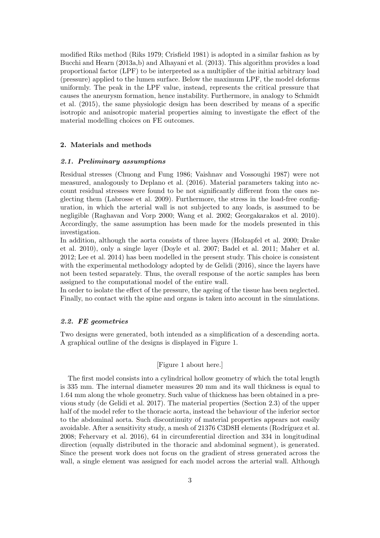modified Riks method [\(Riks 1979;](#page-24-7) [Crisfield 1981\)](#page-22-8) is adopted in a similar fashion as by [Bucchi and Hearn](#page-21-4) [\(2013a,](#page-21-4)[b\)](#page-21-5) and [Alhayani et al.](#page-21-0) [\(2013\)](#page-21-0). This algorithm provides a load proportional factor (LPF) to be interpreted as a multiplier of the initial arbitrary load (pressure) applied to the lumen surface. Below the maximum LPF, the model deforms uniformly. The peak in the LPF value, instead, represents the critical pressure that causes the aneurysm formation, hence instability. Furthermore, in analogy to [Schmidt](#page-24-3) [et al.](#page-24-3) [\(2015\)](#page-24-3), the same physiologic design has been described by means of a specific isotropic and anisotropic material properties aiming to investigate the effect of the material modelling choices on FE outcomes.

#### 2. Materials and methods

#### 2.1. Preliminary assumptions

Residual stresses [\(Chuong and Fung 1986;](#page-22-9) [Vaishnav and Vossoughi 1987\)](#page-25-3) were not measured, analogously to [Deplano et al.](#page-22-10) [\(2016\)](#page-22-10). Material parameters taking into account residual stresses were found to be not significantly different from the ones neglecting them [\(Labrosse et al. 2009\)](#page-23-6). Furthermore, the stress in the load-free configuration, in which the arterial wall is not subjected to any loads, is assumed to be negligible [\(Raghavan and Vorp 2000;](#page-24-0) [Wang et al. 2002;](#page-25-0) [Georgakarakos et al. 2010\)](#page-22-11). Accordingly, the same assumption has been made for the models presented in this investigation.

In addition, although the aorta consists of three layers [\(Holzapfel et al. 2000;](#page-23-7) [Drake](#page-22-12) [et al. 2010\)](#page-22-12), only a single layer [\(Doyle et al. 2007;](#page-22-13) [Badel et al. 2011;](#page-21-1) [Maher et al.](#page-23-8) [2012;](#page-23-8) [Lee et al. 2014\)](#page-23-4) has been modelled in the present study. This choice is consistent with the experimental methodology adopted by [de Gelidi](#page-22-7) [\(2016\)](#page-22-7), since the layers have not been tested separately. Thus, the overall response of the aortic samples has been assigned to the computational model of the entire wall.

In order to isolate the effect of the pressure, the ageing of the tissue has been neglected. Finally, no contact with the spine and organs is taken into account in the simulations.

### <span id="page-2-0"></span>2.2. FE geometries

Two designs were generated, both intended as a simplification of a descending aorta. A graphical outline of the designs is displayed in Figure [1.](#page-10-0)

## [Figure 1 about here.]

The first model consists into a cylindrical hollow geometry of which the total length is 335 mm. The internal diameter measures 20 mm and its wall thickness is equal to 1.64 mm along the whole geometry. Such value of thickness has been obtained in a previous study [\(de Gelidi et al. 2017\)](#page-22-14). The material properties (Section [2.3\)](#page-3-0) of the upper half of the model refer to the thoracic aorta, instead the behaviour of the inferior sector to the abdominal aorta. Such discontinuity of material properties appears not easily avoidable. After a sensitivity study, a mesh of 21376 C3D8H elements (Rodríguez et al. [2008;](#page-24-4) [Fehervary et al. 2016\)](#page-22-15), 64 in circumferential direction and 334 in longitudinal direction (equally distributed in the thoracic and abdominal segment), is generated. Since the present work does not focus on the gradient of stress generated across the wall, a single element was assigned for each model across the arterial wall. Although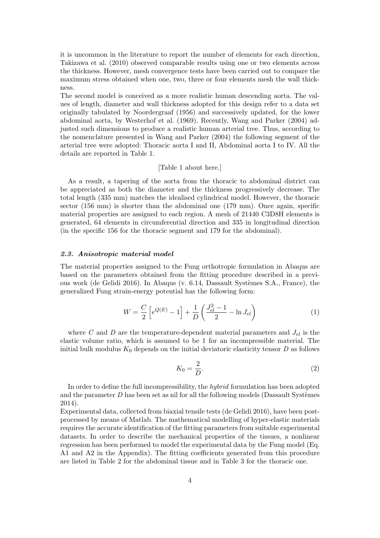it is uncommon in the literature to report the number of elements for each direction, [Takizawa et al.](#page-25-4) [\(2010\)](#page-25-4) observed comparable results using one or two elements across the thickness. However, mesh convergence tests have been carried out to compare the maximum stress obtained when one, two, three or four elements mesh the wall thickness.

The second model is conceived as a more realistic human descending aorta. The values of length, diameter and wall thickness adopted for this design refer to a data set originally tabulated by [Noordergraaf](#page-23-9) [\(1956\)](#page-23-9) and successively updated, for the lower abdominal aorta, by [Westerhof et al.](#page-25-5) [\(1969\)](#page-25-5). Recently, [Wang and Parker](#page-25-6) [\(2004\)](#page-25-6) adjusted such dimensions to produce a realistic human arterial tree. Thus, according to the nomenclature presented in [Wang and Parker](#page-25-6) [\(2004\)](#page-25-6) the following segment of the arterial tree were adopted: Thoracic aorta I and II, Abdominal aorta I to IV. All the details are reported in Table [1.](#page-17-0)

## [Table 1 about here.]

As a result, a tapering of the aorta from the thoracic to abdominal district can be appreciated as both the diameter and the thickness progressively decrease. The total length (335 mm) matches the idealised cylindrical model. However, the thoracic sector (156 mm) is shorter than the abdominal one (179 mm). Once again, specific material properties are assigned to each region. A mesh of 21440 C3D8H elements is generated, 64 elements in circumferential direction and 335 in longitudinal direction (in the specific 156 for the thoracic segment and 179 for the abdominal).

#### <span id="page-3-0"></span>2.3. Anisotropic material model

The material properties assigned to the Fung orthotropic formulation in Abaqus are based on the parameters obtained from the fitting procedure described in a previ-ous work [\(de Gelidi 2016\)](#page-22-7). In Abaqus (v. 6.14, Dassault Systèmes S.A., France), the generalized Fung strain-energy potential has the following form:

$$
W = \frac{C}{2} \left[ e^{Q(E)} - 1 \right] + \frac{1}{D} \left( \frac{J_{el}^2 - 1}{2} - \ln J_{el} \right)
$$
 (1)

where C and D are the temperature-dependent material parameters and  $J_{el}$  is the elastic volume ratio, which is assumed to be 1 for an incompressible material. The initial bulk modulus  $K_0$  depends on the initial deviatoric elasticity tensor D as follows

$$
K_0 = \frac{2}{D}.\tag{2}
$$

In order to define the full incompressibility, the hybrid formulation has been adopted and the parameter  $D$  has been set as nil for all the following models (Dassault Systèmes [2014\)](#page-22-16).

Experimental data, collected from biaxial tensile tests [\(de Gelidi 2016\)](#page-22-7), have been postprocessed by means of Matlab. The mathematical modelling of hyper-elastic materials requires the accurate identification of the fitting parameters from suitable experimental datasets. In order to describe the mechanical properties of the tissues, a nonlinear regression has been performed to model the experimental data by the Fung model (Eq. [A1](#page-20-1) and [A2](#page-20-2) in the [Appendix\)](#page-20-0). The fitting coefficients generated from this procedure are listed in Table [2](#page-18-0) for the abdominal tissue and in Table [3](#page-19-0) for the thoracic one.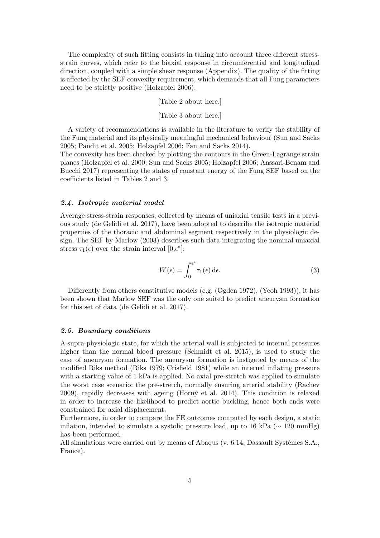The complexity of such fitting consists in taking into account three different stressstrain curves, which refer to the biaxial response in circumferential and longitudinal direction, coupled with a simple shear response [\(Appendix\)](#page-20-0). The quality of the fitting is affected by the SEF convexity requirement, which demands that all Fung parameters need to be strictly positive [\(Holzapfel 2006\)](#page-23-10).

[Table 2 about here.]

# [Table 3 about here.]

A variety of recommendations is available in the literature to verify the stability of the Fung material and its physically meaningful mechanical behaviour [\(Sun and Sacks](#page-25-7) [2005;](#page-25-7) [Pandit et al. 2005;](#page-24-8) [Holzapfel 2006;](#page-23-10) [Fan and Sacks 2014\)](#page-22-17).

The convexity has been checked by plotting the contours in the Green-Lagrange strain planes [\(Holzapfel et al. 2000;](#page-23-7) [Sun and Sacks 2005;](#page-25-7) [Holzapfel 2006;](#page-23-10) [Anssari-Benam and](#page-21-6) [Bucchi 2017\)](#page-21-6) representing the states of constant energy of the Fung SEF based on the coefficients listed in Tables [2](#page-18-0) and [3.](#page-19-0)

#### <span id="page-4-0"></span>2.4. Isotropic material model

Average stress-strain responses, collected by means of uniaxial tensile tests in a previous study [\(de Gelidi et al. 2017\)](#page-22-14), have been adopted to describe the isotropic material properties of the thoracic and abdominal segment respectively in the physiologic design. The SEF by [Marlow](#page-23-11) [\(2003\)](#page-23-11) describes such data integrating the nominal uniaxial stress  $\tau_1(\epsilon)$  over the strain interval  $[0,\epsilon^*]$ :

$$
W(\epsilon) = \int_0^{\epsilon^*} \tau_1(\epsilon) \, \mathrm{d}\epsilon. \tag{3}
$$

Differently from others constitutive models (e.g. [\(Ogden 1972\)](#page-24-9), [\(Yeoh 1993\)](#page-25-8)), it has been shown that Marlow SEF was the only one suited to predict aneurysm formation for this set of data [\(de Gelidi et al. 2017\)](#page-22-14).

#### 2.5. Boundary conditions

A supra-physiologic state, for which the arterial wall is subjected to internal pressures higher than the normal blood pressure [\(Schmidt et al. 2015\)](#page-24-3), is used to study the case of aneurysm formation. The aneurysm formation is instigated by means of the modified Riks method [\(Riks 1979;](#page-24-7) [Crisfield 1981\)](#page-22-8) while an internal inflating pressure with a starting value of 1 kPa is applied. No axial pre-stretch was applied to simulate the worst case scenario: the pre-stretch, normally ensuring arterial stability [\(Rachev](#page-24-10)  $2009$ ), rapidly decreases with ageing (Horn $\acute{\text{y}}$  et al. 2014). This condition is relaxed in order to increase the likelihood to predict aortic buckling, hence both ends were constrained for axial displacement.

Furthermore, in order to compare the FE outcomes computed by each design, a static inflation, intended to simulate a systolic pressure load, up to 16 kPa ( $\sim$  120 mmHg) has been performed.

All simulations were carried out by means of Abaqus  $(v. 6.14,$  Dassault Systèmes S.A., France).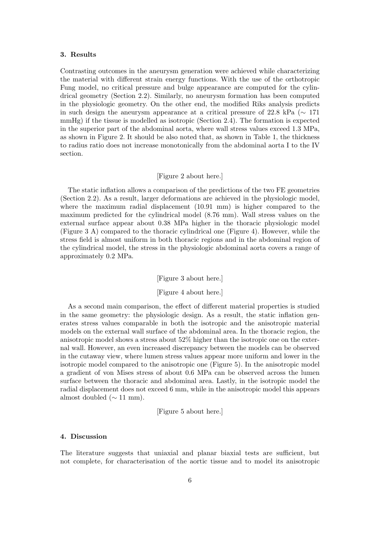## 3. Results

Contrasting outcomes in the aneurysm generation were achieved while characterizing the material with different strain energy functions. With the use of the orthotropic Fung model, no critical pressure and bulge appearance are computed for the cylindrical geometry (Section [2.2\)](#page-2-0). Similarly, no aneurysm formation has been computed in the physiologic geometry. On the other end, the modified Riks analysis predicts in such design the aneurysm appearance at a critical pressure of 22.8 kPa ( $\sim$  171 mmHg) if the tissue is modelled as isotropic (Section [2.4\)](#page-4-0). The formation is expected in the superior part of the abdominal aorta, where wall stress values exceed 1.3 MPa, as shown in Figure [2.](#page-11-0) It should be also noted that, as shown in Table [1,](#page-17-0) the thickness to radius ratio does not increase monotonically from the abdominal aorta I to the IV section.

## [Figure 2 about here.]

The static inflation allows a comparison of the predictions of the two FE geometries (Section [2.2\)](#page-2-0). As a result, larger deformations are achieved in the physiologic model, where the maximum radial displacement (10.91 mm) is higher compared to the maximum predicted for the cylindrical model (8.76 mm). Wall stress values on the external surface appear about 0.38 MPa higher in the thoracic physiologic model (Figure [3](#page-12-0) A) compared to the thoracic cylindrical one (Figure [4\)](#page-13-0). However, while the stress field is almost uniform in both thoracic regions and in the abdominal region of the cylindrical model, the stress in the physiologic abdominal aorta covers a range of approximately 0.2 MPa.

#### [Figure 3 about here.]

## [Figure 4 about here.]

As a second main comparison, the effect of different material properties is studied in the same geometry: the physiologic design. As a result, the static inflation generates stress values comparable in both the isotropic and the anisotropic material models on the external wall surface of the abdominal area. In the thoracic region, the anisotropic model shows a stress about 52% higher than the isotropic one on the external wall. However, an even increased discrepancy between the models can be observed in the cutaway view, where lumen stress values appear more uniform and lower in the isotropic model compared to the anisotropic one (Figure [5\)](#page-14-0). In the anisotropic model a gradient of von Mises stress of about 0.6 MPa can be observed across the lumen surface between the thoracic and abdominal area. Lastly, in the isotropic model the radial displacement does not exceed 6 mm, while in the anisotropic model this appears almost doubled ( $\sim$  11 mm).

## [Figure 5 about here.]

## 4. Discussion

The literature suggests that uniaxial and planar biaxial tests are sufficient, but not complete, for characterisation of the aortic tissue and to model its anisotropic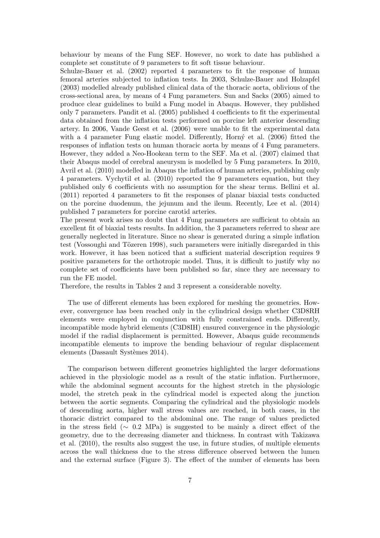behaviour by means of the Fung SEF. However, no work to date has published a complete set constitute of 9 parameters to fit soft tissue behaviour.

[Schulze-Bauer et al.](#page-24-11) [\(2002\)](#page-24-11) reported 4 parameters to fit the response of human femoral arteries subjected to inflation tests. In 2003, [Schulze-Bauer and Holzapfel](#page-24-12) [\(2003\)](#page-24-12) modelled already published clinical data of the thoracic aorta, oblivious of the cross-sectional area, by means of 4 Fung parameters. [Sun and Sacks](#page-25-7) [\(2005\)](#page-25-7) aimed to produce clear guidelines to build a Fung model in Abaqus. However, they published only 7 parameters. [Pandit et al.](#page-24-8) [\(2005\)](#page-24-8) published 4 coefficients to fit the experimental data obtained from the inflation tests performed on porcine left anterior descending artery. In 2006, [Vande Geest et al.](#page-25-9) [\(2006\)](#page-25-9) were unable to fit the experimental data with a 4 parameter Fung elastic model. Differently, Horn $\acute{v}$  et al. [\(2006\)](#page-23-13) fitted the responses of inflation tests on human thoracic aorta by means of 4 Fung parameters. However, they added a Neo-Hookean term to the SEF. [Ma et al.](#page-23-0) [\(2007\)](#page-23-0) claimed that their Abaqus model of cerebral aneurysm is modelled by 5 Fung parameters. In 2010, [Avril et al.](#page-21-2) [\(2010\)](#page-21-2) modelled in Abaqus the inflation of human arteries, publishing only 4 parameters. [Vychytil et al.](#page-25-10) [\(2010\)](#page-25-10) reported the 9 parameters equation, but they published only 6 coefficients with no assumption for the shear terms. [Bellini et al.](#page-21-7) [\(2011\)](#page-21-7) reported 4 parameters to fit the responses of planar biaxial tests conducted on the porcine duodenum, the jejunum and the ileum. Recently, [Lee et al.](#page-23-4) [\(2014\)](#page-23-4) published 7 parameters for porcine carotid arteries.

The present work arises no doubt that 4 Fung parameters are sufficient to obtain an excellent fit of biaxial tests results. In addition, the 3 parameters referred to shear are generally neglected in literature. Since no shear is generated during a simple inflation test (Vossoughi and Tözeren 1998), such parameters were initially disregarded in this work. However, it has been noticed that a sufficient material description requires 9 positive parameters for the orthotropic model. Thus, it is difficult to justify why no complete set of coefficients have been published so far, since they are necessary to run the FE model.

Therefore, the results in Tables [2](#page-18-0) and [3](#page-19-0) represent a considerable novelty.

The use of different elements has been explored for meshing the geometries. However, convergence has been reached only in the cylindrical design whether C3D8RH elements were employed in conjunction with fully constrained ends. Differently, incompatible mode hybrid elements (C3D8IH) ensured convergence in the physiologic model if the radial displacement is permitted. However, Abaqus guide recommends incompatible elements to improve the bending behaviour of regular displacement elements (Dassault Systèmes 2014).

The comparison between different geometries highlighted the larger deformations achieved in the physiologic model as a result of the static inflation. Furthermore, while the abdominal segment accounts for the highest stretch in the physiologic model, the stretch peak in the cylindrical model is expected along the junction between the aortic segments. Comparing the cylindrical and the physiologic models of descending aorta, higher wall stress values are reached, in both cases, in the thoracic district compared to the abdominal one. The range of values predicted in the stress field (∼ 0.2 MPa) is suggested to be mainly a direct effect of the geometry, due to the decreasing diameter and thickness. In contrast with [Takizawa](#page-25-4) [et al.](#page-25-4) [\(2010\)](#page-25-4), the results also suggest the use, in future studies, of multiple elements across the wall thickness due to the stress difference observed between the lumen and the external surface (Figure [3\)](#page-12-0). The effect of the number of elements has been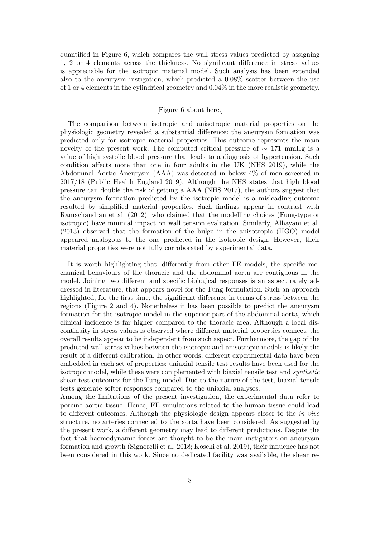quantified in Figure [6,](#page-15-0) which compares the wall stress values predicted by assigning 1, 2 or 4 elements across the thickness. No significant difference in stress values is appreciable for the isotropic material model. Such analysis has been extended also to the aneurysm instigation, which predicted a 0.08% scatter between the use of 1 or 4 elements in the cylindrical geometry and 0.04% in the more realistic geometry.

## [Figure 6 about here.]

The comparison between isotropic and anisotropic material properties on the physiologic geometry revealed a substantial difference: the aneurysm formation was predicted only for isotropic material properties. This outcome represents the main novelty of the present work. The computed critical pressure of  $\sim 171 \text{ mmHg}$  is a value of high systolic blood pressure that leads to a diagnosis of hypertension. Such condition affects more than one in four adults in the UK [\(NHS 2019\)](#page-23-14), while the Abdominal Aortic Aneurysm (AAA) was detected in below 4% of men screened in 2017/18 [\(Public Health England 2019\)](#page-24-13). Although the NHS states that high blood pressure can double the risk of getting a AAA [\(NHS 2017\)](#page-23-15), the authors suggest that the aneurysm formation predicted by the isotropic model is a misleading outcome resulted by simplified material properties. Such findings appear in contrast with [Ramachandran et al.](#page-24-6) [\(2012\)](#page-24-6), who claimed that the modelling choices (Fung-type or isotropic) have minimal impact on wall tension evaluation. Similarly, [Alhayani et al.](#page-21-0) [\(2013\)](#page-21-0) observed that the formation of the bulge in the anisotropic (HGO) model appeared analogous to the one predicted in the isotropic design. However, their material properties were not fully corroborated by experimental data.

It is worth highlighting that, differently from other FE models, the specific mechanical behaviours of the thoracic and the abdominal aorta are contiguous in the model. Joining two different and specific biological responses is an aspect rarely addressed in literature, that appears novel for the Fung formulation. Such an approach highlighted, for the first time, the significant difference in terms of stress between the regions (Figure [2](#page-11-0) and [4\)](#page-13-0). Nonetheless it has been possible to predict the aneurysm formation for the isotropic model in the superior part of the abdominal aorta, which clinical incidence is far higher compared to the thoracic area. Although a local discontinuity in stress values is observed where different material properties connect, the overall results appear to be independent from such aspect. Furthermore, the gap of the predicted wall stress values between the isotropic and anisotropic models is likely the result of a different calibration. In other words, different experimental data have been embedded in each set of properties: uniaxial tensile test results have been used for the isotropic model, while these were complemented with biaxial tensile test and synthetic shear test outcomes for the Fung model. Due to the nature of the test, biaxial tensile tests generate softer responses compared to the uniaxial analyses.

Among the limitations of the present investigation, the experimental data refer to porcine aortic tissue. Hence, FE simulations related to the human tissue could lead to different outcomes. Although the physiologic design appears closer to the in vivo structure, no arteries connected to the aorta have been considered. As suggested by the present work, a different geometry may lead to different predictions. Despite the fact that haemodynamic forces are thought to be the main instigators on aneurysm formation and growth [\(Signorelli et al. 2018;](#page-24-14) [Koseki et al. 2019\)](#page-23-16), their influence has not been considered in this work. Since no dedicated facility was available, the shear re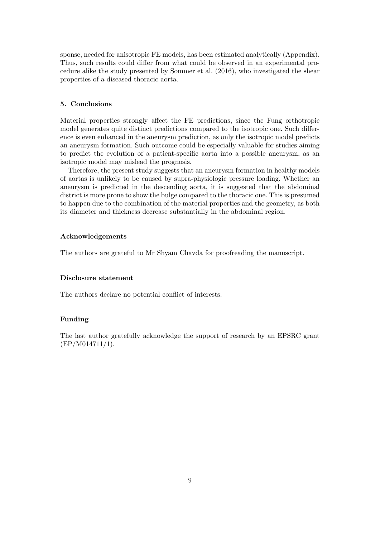sponse, needed for anisotropic FE models, has been estimated analytically [\(Appendix\)](#page-20-0). Thus, such results could differ from what could be observed in an experimental procedure alike the study presented by [Sommer et al.](#page-24-15) [\(2016\)](#page-24-15), who investigated the shear properties of a diseased thoracic aorta.

## 5. Conclusions

Material properties strongly affect the FE predictions, since the Fung orthotropic model generates quite distinct predictions compared to the isotropic one. Such difference is even enhanced in the aneurysm prediction, as only the isotropic model predicts an aneurysm formation. Such outcome could be especially valuable for studies aiming to predict the evolution of a patient-specific aorta into a possible aneurysm, as an isotropic model may mislead the prognosis.

Therefore, the present study suggests that an aneurysm formation in healthy models of aortas is unlikely to be caused by supra-physiologic pressure loading. Whether an aneurysm is predicted in the descending aorta, it is suggested that the abdominal district is more prone to show the bulge compared to the thoracic one. This is presumed to happen due to the combination of the material properties and the geometry, as both its diameter and thickness decrease substantially in the abdominal region.

#### Acknowledgements

The authors are grateful to Mr Shyam Chavda for proofreading the manuscript.

#### Disclosure statement

The authors declare no potential conflict of interests.

## Funding

The last author gratefully acknowledge the support of research by an EPSRC grant (EP/M014711/1).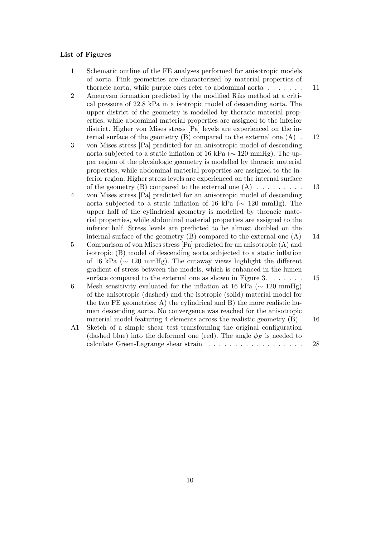## List of Figures

[1 Schematic outline of the FE analyses performed for anisotropic models](#page-10-0) [of aorta. Pink geometries are characterized by material properties of](#page-10-0) [thoracic aorta, while purple ones refer to abdominal aorta](#page-10-0) . . . . . . . 11 [2 Aneurysm formation predicted by the modified Riks method at a criti](#page-11-0)[cal pressure of 22.8 kPa in a isotropic model of descending aorta. The](#page-11-0) [upper district of the geometry is modelled by thoracic material prop](#page-11-0)[erties, while abdominal material properties are assigned to the inferior](#page-11-0) [district. Higher von Mises stress \[Pa\] levels are experienced on the in](#page-11-0)[ternal surface of the geometry \(B\) compared to the external one \(A\)](#page-11-0) . 12 [3 von Mises stress \[Pa\] predicted for an anisotropic model of descending](#page-12-0) [aorta subjected to a static inflation of 16 kPa \(](#page-12-0) $\sim$  120 mmHg). The up[per region of the physiologic geometry is modelled by thoracic material](#page-12-0) [properties, while abdominal material properties are assigned to the in](#page-12-0)[ferior region. Higher stress levels are experienced on the internal surface](#page-12-0) of the geometry  $(B)$  compared to the external one  $(A)$  ........ 13 [4 von Mises stress \[Pa\] predicted for an anisotropic model of descending](#page-13-0) [aorta subjected to a static inflation of 16 kPa \(](#page-13-0)∼ 120 mmHg). The [upper half of the cylindrical geometry is modelled by thoracic mate](#page-13-0)[rial properties, while abdominal material properties are assigned to the](#page-13-0) [inferior half. Stress levels are predicted to be almost doubled on the](#page-13-0) internal surface of the geometry  $(B)$  compared to the external one  $(A)$  14 [5 Comparison of von Mises stress \[Pa\] predicted for an anisotropic \(A\) and](#page-14-0) [isotropic \(B\) model of descending aorta subjected to a static inflation](#page-14-0) of 16 kPa (∼ [120 mmHg\). The cutaway views highlight the different](#page-14-0) [gradient of stress between the models, which is enhanced in the lumen](#page-14-0) [surface compared to the external one as shown in Figure 3.](#page-14-0)  $\dots$ . . . . . . 15 [6 Mesh sensitivity evaluated for the inflation at 16 kPa \(](#page-15-0)∼ 120 mmHg) [of the anisotropic \(dashed\) and the isotropic \(solid\) material model for](#page-15-0) [the two FE geometries: A\) the cylindrical and B\) the more realistic hu](#page-15-0)[man descending aorta. No convergence was reached for the anisotropic](#page-15-0) [material model featuring 4 elements across the realistic geometry \(B\)](#page-15-0). 16 [A1 Sketch of a simple shear test transforming the original configuration](#page-27-0) [\(dashed blue\) into the deformed one \(red\). The angle](#page-27-0)  $\phi_F$  is needed to [calculate Green-Lagrange shear strain](#page-27-0) . . . . . . . . . . . . . . . . . . 28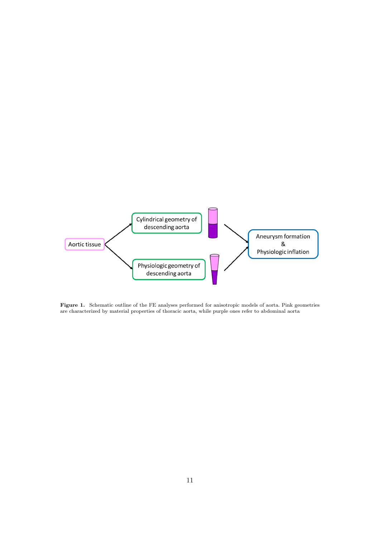

<span id="page-10-0"></span>Figure 1. Schematic outline of the FE analyses performed for anisotropic models of aorta. Pink geometries are characterized by material properties of thoracic aorta, while purple ones refer to abdominal aorta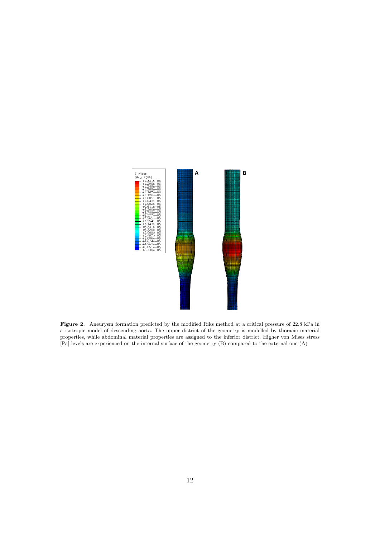

<span id="page-11-0"></span>Figure 2. Aneurysm formation predicted by the modified Riks method at a critical pressure of 22.8 kPa in a isotropic model of descending aorta. The upper district of the geometry is modelled by thoracic material properties, while abdominal material properties are assigned to the inferior district. Higher von Mises stress [Pa] levels are experienced on the internal surface of the geometry (B) compared to the external one (A)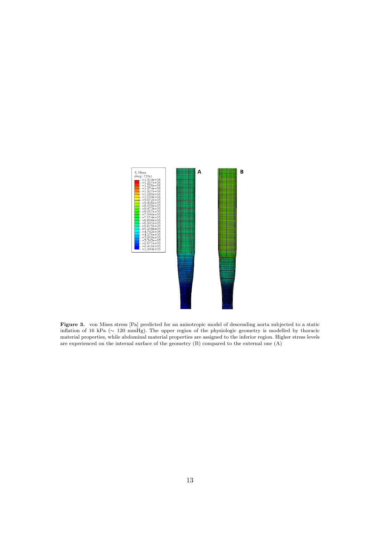

<span id="page-12-0"></span>Figure 3. von Mises stress [Pa] predicted for an anisotropic model of descending aorta subjected to a static inflation of 16 kPa (∼ 120 mmHg). The upper region of the physiologic geometry is modelled by thoracic material properties, while abdominal material properties are assigned to the inferior region. Higher stress levels are experienced on the internal surface of the geometry (B) compared to the external one  $(A)$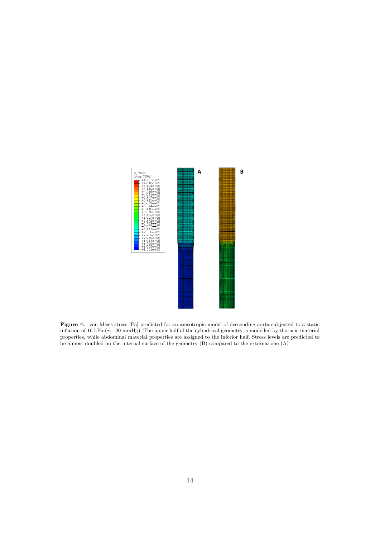

<span id="page-13-0"></span>Figure 4. von Mises stress [Pa] predicted for an anisotropic model of descending aorta subjected to a static inflation of 16 kPa (∼ 120 mmHg). The upper half of the cylindrical geometry is modelled by thoracic material properties, while abdominal material properties are assigned to the inferior half. Stress levels are predicted to be almost doubled on the internal surface of the geometry (B) compared to the external one (A)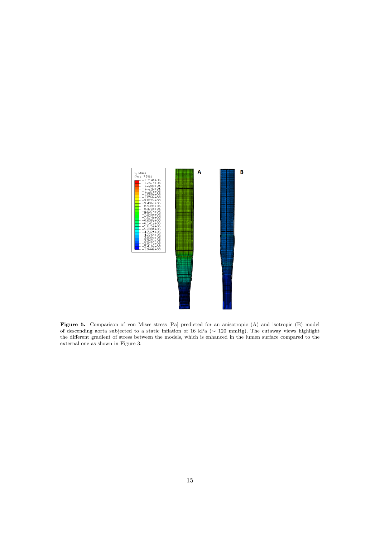

<span id="page-14-0"></span>Figure 5. Comparison of von Mises stress [Pa] predicted for an anisotropic (A) and isotropic (B) model of descending aorta subjected to a static inflation of 16 kPa (∼ 120 mmHg). The cutaway views highlight the different gradient of stress between the models, which is enhanced in the lumen surface compared to the external one as shown in Figure [3.](#page-12-0)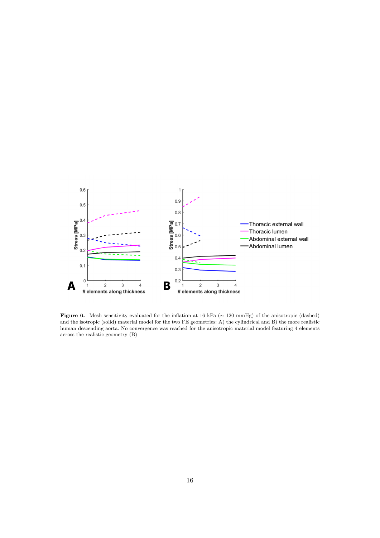

<span id="page-15-0"></span>Figure 6. Mesh sensitivity evaluated for the inflation at 16 kPa (∼ 120 mmHg) of the anisotropic (dashed) and the isotropic (solid) material model for the two FE geometries: A) the cylindrical and B) the more realistic human descending aorta. No convergence was reached for the anisotropic material model featuring 4 elements across the realistic geometry (B)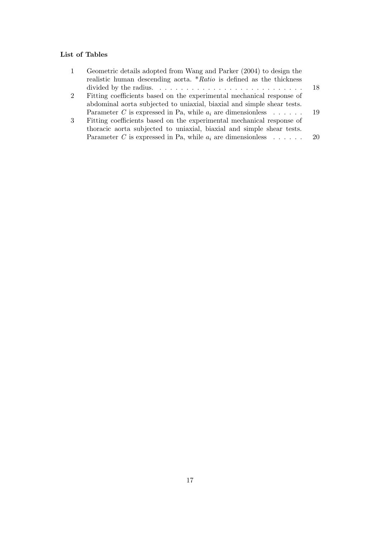# List of Tables

| Geometric details adopted from Wang and Parker (2004) to design the<br>realistic human descending aorta. $*Ratio$ is defined as the thickness |      |
|-----------------------------------------------------------------------------------------------------------------------------------------------|------|
|                                                                                                                                               |      |
| divided by the radius. $\dots \dots \dots \dots \dots \dots \dots \dots \dots \dots \dots$                                                    | 18   |
| Fitting coefficients based on the experimental mechanical response of<br>$\overline{2}$                                                       |      |
| abdominal aorta subjected to uniaxial, biaxial and simple shear tests.                                                                        |      |
| Parameter C is expressed in Pa, while $a_i$ are dimensionless  19                                                                             |      |
| Fitting coefficients based on the experimental mechanical response of<br>3                                                                    |      |
| thoracic aorta subjected to uniaxial, biaxial and simple shear tests.                                                                         |      |
| Parameter C is expressed in Pa, while $a_i$ are dimensionless                                                                                 | - 20 |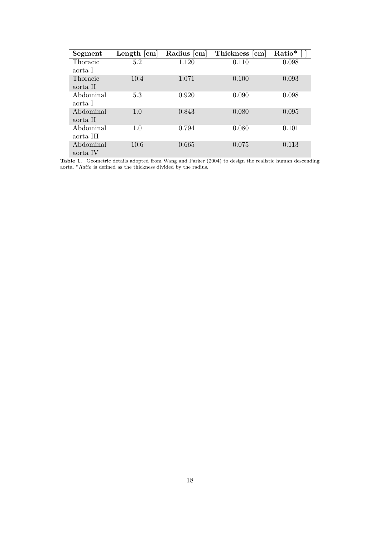| Segment         | Length $\lceil$ cm $\rceil$ | Radius [cm] | Thickness<br> cm | Ratio* |
|-----------------|-----------------------------|-------------|------------------|--------|
| Thoracic        | 5.2                         | 1.120       | 0.110            | 0.098  |
| aorta I         |                             |             |                  |        |
| <b>Thoracic</b> | 10.4                        | 1.071       | 0.100            | 0.093  |
| aorta II        |                             |             |                  |        |
| Abdominal       | 5.3                         | 0.920       | 0.090            | 0.098  |
| aorta I         |                             |             |                  |        |
| Abdominal       | 1.0                         | 0.843       | 0.080            | 0.095  |
| aorta II        |                             |             |                  |        |
| Abdominal       | 1.0                         | 0.794       | 0.080            | 0.101  |
| aorta III       |                             |             |                  |        |
| Abdominal       | 10.6                        | 0.665       | 0.075            | 0.113  |
| aorta IV        |                             |             |                  |        |

<span id="page-17-0"></span>Table 1. Geometric details adopted from [Wang and Parker](#page-25-6) [\(2004\)](#page-25-6) to design the realistic human descending aorta. \*Ratio is defined as the thickness divided by the radius.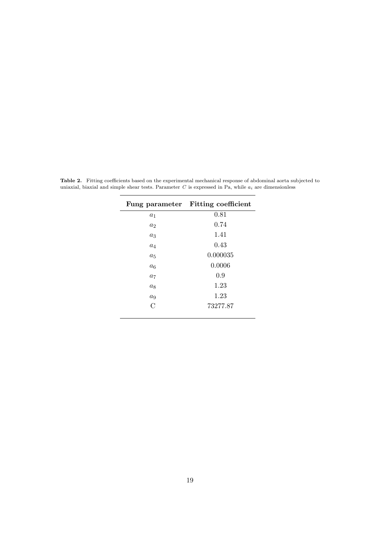|                             | Fung parameter Fitting coefficient |
|-----------------------------|------------------------------------|
| $a_1$                       | 0.81                               |
| a <sub>2</sub>              | 0.74                               |
| $a_3$                       | 1.41                               |
| $a_4$                       | 0.43                               |
| $a_5$                       | 0.000035                           |
| $a_6$                       | 0.0006                             |
| $a_7$                       | 0.9                                |
| $a_8$                       | 1.23                               |
| $a_9$                       | 1.23                               |
| $\mathcal{C}_{\mathcal{C}}$ | 73277.87                           |
|                             |                                    |

<span id="page-18-0"></span>Table 2. Fitting coefficients based on the experimental mechanical response of abdominal aorta subjected to uniaxial, biaxial and simple shear tests. Parameter  $C$  is expressed in Pa, while  $a_i$  are dimensionless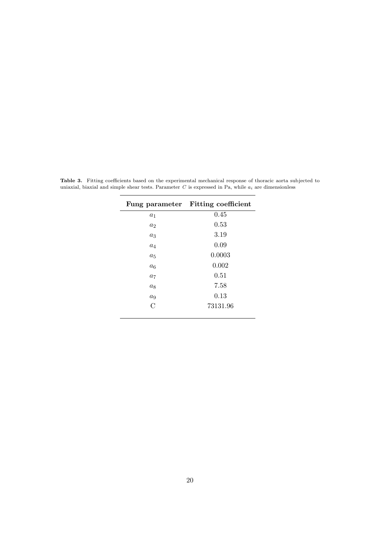|                | Fung parameter Fitting coefficient |
|----------------|------------------------------------|
| $a_1$          | 0.45                               |
| a <sub>2</sub> | 0.53                               |
| $a_3$          | 3.19                               |
| $a_4$          | 0.09                               |
| $a_5$          | 0.0003                             |
| $a_6$          | 0.002                              |
| $a_7$          | 0.51                               |
| $a_8$          | 7.58                               |
| $a_9$          | 0.13                               |
| $\mathcal{C}$  | 73131.96                           |
|                |                                    |

<span id="page-19-0"></span>Table 3. Fitting coefficients based on the experimental mechanical response of thoracic aorta subjected to uniaxial, biaxial and simple shear tests. Parameter  $C$  is expressed in Pa, while  $a_i$  are dimensionless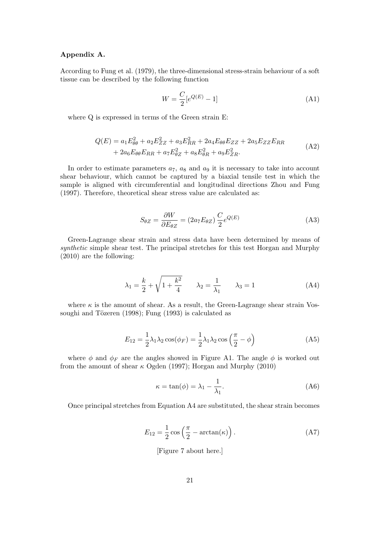## <span id="page-20-0"></span>Appendix A.

According to [Fung et al.](#page-22-4) [\(1979\)](#page-22-4), the three-dimensional stress-strain behaviour of a soft tissue can be described by the following function

<span id="page-20-1"></span>
$$
W = \frac{C}{2} [e^{Q(E)} - 1]
$$
 (A1)

where Q is expressed in terms of the Green strain E:

$$
Q(E) = a_1 E_{\theta\theta}^2 + a_2 E_{ZZ}^2 + a_3 E_{RR}^2 + 2 a_4 E_{\theta\theta} E_{ZZ} + 2 a_5 E_{ZZ} E_{RR}
$$
  
+ 2a\_6 E\_{\theta\theta} E\_{RR} + a\_7 E\_{\theta Z}^2 + a\_8 E\_{\theta R}^2 + a\_9 E\_{ZR}^2. (A2)

<span id="page-20-2"></span>In order to estimate parameters  $a_7$ ,  $a_8$  and  $a_9$  it is necessary to take into account shear behaviour, which cannot be captured by a biaxial tensile test in which the sample is aligned with circumferential and longitudinal directions [Zhou and Fung](#page-25-12) [\(1997\)](#page-25-12). Therefore, theoretical shear stress value are calculated as:

<span id="page-20-4"></span>
$$
S_{\theta Z} = \frac{\partial W}{\partial E_{\theta Z}} = (2a_7 E_{\theta Z}) \frac{C}{2} e^{Q(E)} \tag{A3}
$$

Green-Lagrange shear strain and stress data have been determined by means of synthetic simple shear test. The principal stretches for this test [Horgan and Murphy](#page-23-17) [\(2010\)](#page-23-17) are the following:

<span id="page-20-3"></span>
$$
\lambda_1 = \frac{k}{2} + \sqrt{1 + \frac{k^2}{4}} \qquad \lambda_2 = \frac{1}{\lambda_1} \qquad \lambda_3 = 1
$$
\n(A4)

where  $\kappa$  is the amount of shear. As a result, the Green-Lagrange shear strain [Vos](#page-25-11)soughi and Tözeren  $(1998)$ ; [Fung](#page-22-18)  $(1993)$  is calculated as

$$
E_{12} = \frac{1}{2}\lambda_1\lambda_2\cos(\phi_F) = \frac{1}{2}\lambda_1\lambda_2\cos\left(\frac{\pi}{2} - \phi\right)
$$
 (A5)

where  $\phi$  and  $\phi_F$  are the angles showed in Figure [A1.](#page-27-0) The angle  $\phi$  is worked out from the amount of shear  $\kappa$  [Ogden](#page-24-16) [\(1997\)](#page-24-16); [Horgan and Murphy](#page-23-17) [\(2010\)](#page-23-17)

$$
\kappa = \tan(\phi) = \lambda_1 - \frac{1}{\lambda_1}.\tag{A6}
$$

Once principal stretches from Equation [A4](#page-20-3) are substituted, the shear strain becomes

$$
E_{12} = \frac{1}{2}\cos\left(\frac{\pi}{2} - \arctan(\kappa)\right). \tag{A7}
$$

[Figure 7 about here.]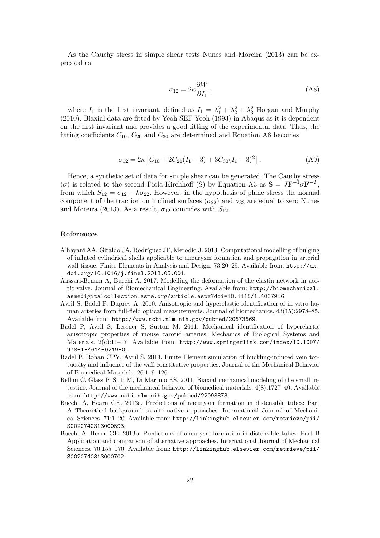As the Cauchy stress in simple shear tests [Nunes and Moreira](#page-24-17) [\(2013\)](#page-24-17) can be expressed as

<span id="page-21-8"></span>
$$
\sigma_{12} = 2\kappa \frac{\partial W}{\partial I_1},\tag{A8}
$$

where  $I_1$  is the first invariant, defined as  $I_1 = \lambda_1^2 + \lambda_2^2 + \lambda_3^2$  [Horgan and Murphy](#page-23-17) [\(2010\)](#page-23-17). Biaxial data are fitted by Yeoh SEF [Yeoh](#page-25-8) [\(1993\)](#page-25-8) in Abaqus as it is dependent on the first invariant and provides a good fitting of the experimental data. Thus, the fitting coefficients  $C_{10}$ ,  $C_{20}$  and  $C_{30}$  are determined and Equation [A8](#page-21-8) becomes

$$
\sigma_{12} = 2\kappa \left[ C_{10} + 2C_{20}(I_1 - 3) + 3C_{30}(I_1 - 3)^2 \right]. \tag{A9}
$$

Hence, a synthetic set of data for simple shear can be generated. The Cauchy stress ( $\sigma$ ) is related to the second Piola-Kirchhoff (S) by Equation [A3](#page-20-4) as  $S = JF^{-1}\sigma F^{-T}$ , from which  $S_{12} = \sigma_{12} - k\sigma_{22}$ . However, in the hypothesis of plane stress the normal component of the traction on inclined surfaces ( $\sigma_{22}$ ) and  $\sigma_{33}$  are equal to zero [Nunes](#page-24-17) [and Moreira](#page-24-17) [\(2013\)](#page-24-17). As a result,  $\sigma_{12}$  coincides with  $S_{12}$ .

## References

- <span id="page-21-0"></span>Alhayani AA, Giraldo JA, Rodríguez JF, Merodio J. 2013. Computational modelling of bulging of inflated cylindrical shells applicable to aneurysm formation and propagation in arterial wall tissue. Finite Elements in Analysis and Design. 73:20–29. Available from: [http://dx.](http://dx.doi.org/10.1016/j.finel.2013.05.001) [doi.org/10.1016/j.finel.2013.05.001](http://dx.doi.org/10.1016/j.finel.2013.05.001).
- <span id="page-21-6"></span>Anssari-Benam A, Bucchi A. 2017. Modelling the deformation of the elastin network in aortic valve. Journal of Biomechanical Engineering. Available from: [http://biomechanical.](http://biomechanical.asmedigitalcollection.asme.org/article.aspx?doi=10.1115/1.4037916) [asmedigitalcollection.asme.org/article.aspx?doi=10.1115/1.4037916](http://biomechanical.asmedigitalcollection.asme.org/article.aspx?doi=10.1115/1.4037916).
- <span id="page-21-2"></span>Avril S, Badel P, Duprey A. 2010. Anisotropic and hyperelastic identification of in vitro human arteries from full-field optical measurements. Journal of biomechanics. 43(15):2978–85. Available from: <http://www.ncbi.nlm.nih.gov/pubmed/20673669>.
- <span id="page-21-1"></span>Badel P, Avril S, Lessner S, Sutton M. 2011. Mechanical identification of hyperelastic anisotropic properties of mouse carotid arteries. Mechanics of Biological Systems and Materials. 2(c):11–17. Available from: [http://www.springerlink.com/index/10.1007/](http://www.springerlink.com/index/10.1007/978-1-4614-0219-0) [978-1-4614-0219-0](http://www.springerlink.com/index/10.1007/978-1-4614-0219-0).
- <span id="page-21-3"></span>Badel P, Rohan CPY, Avril S. 2013. Finite Element simulation of buckling-induced vein tortuosity and influence of the wall constitutive properties. Journal of the Mechanical Behavior of Biomedical Materials. 26:119–126.
- <span id="page-21-7"></span>Bellini C, Glass P, Sitti M, Di Martino ES. 2011. Biaxial mechanical modeling of the small intestine. Journal of the mechanical behavior of biomedical materials. 4(8):1727–40. Available from: <http://www.ncbi.nlm.nih.gov/pubmed/22098873>.
- <span id="page-21-4"></span>Bucchi A, Hearn GE. 2013a. Predictions of aneurysm formation in distensible tubes: Part A Theoretical background to alternative approaches. International Journal of Mechanical Sciences. 71:1–20. Available from: [http://linkinghub.elsevier.com/retrieve/pii/](http://linkinghub.elsevier.com/retrieve/pii/S0020740313000593) [S0020740313000593](http://linkinghub.elsevier.com/retrieve/pii/S0020740313000593).
- <span id="page-21-5"></span>Bucchi A, Hearn GE. 2013b. Predictions of aneurysm formation in distensible tubes: Part B Application and comparison of alternative approaches. International Journal of Mechanical Sciences. 70:155–170. Available from: [http://linkinghub.elsevier.com/retrieve/pii/](http://linkinghub.elsevier.com/retrieve/pii/S0020740313000702) [S0020740313000702](http://linkinghub.elsevier.com/retrieve/pii/S0020740313000702).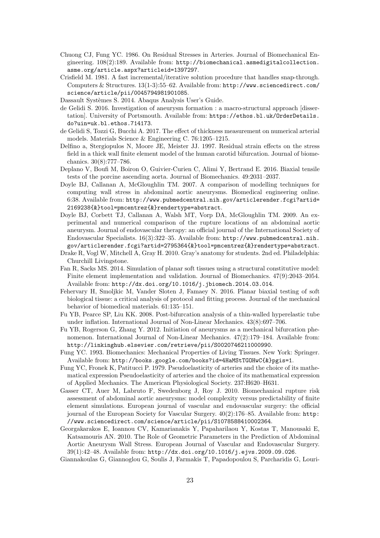- <span id="page-22-9"></span>Chuong CJ, Fung YC. 1986. On Residual Stresses in Arteries. Journal of Biomechanical Engineering. 108(2):189. Available from: [http://biomechanical.asmedigitalcollection.](http://biomechanical.asmedigitalcollection.asme.org/article.aspx?articleid=1397297) [asme.org/article.aspx?articleid=1397297](http://biomechanical.asmedigitalcollection.asme.org/article.aspx?articleid=1397297).
- <span id="page-22-8"></span>Crisfield M. 1981. A fast incremental/iterative solution procedure that handles snap-through. Computers & Structures. 13(1-3):55–62. Available from: [http://www.sciencedirect.com/](http://www.sciencedirect.com/science/article/pii/0045794981901085) [science/article/pii/0045794981901085](http://www.sciencedirect.com/science/article/pii/0045794981901085).
- <span id="page-22-16"></span>Dassault Systèmes S. 2014. Abaqus Analysis User's Guide.
- <span id="page-22-7"></span>de Gelidi S. 2016. Investigation of aneurysm formation : a macro-structural approach [dissertation]. University of Portsmouth. Available from: [https://ethos.bl.uk/OrderDetails.](https://ethos.bl.uk/OrderDetails.do?uin=uk.bl.ethos.714173) [do?uin=uk.bl.ethos.714173](https://ethos.bl.uk/OrderDetails.do?uin=uk.bl.ethos.714173).
- <span id="page-22-14"></span>de Gelidi S, Tozzi G, Bucchi A. 2017. The effect of thickness measurement on numerical arterial models. Materials Science & Engineering C. 76:1205–1215.
- <span id="page-22-1"></span>Delfino a, Stergiopulos N, Moore JE, Meister JJ. 1997. Residual strain effects on the stress field in a thick wall finite element model of the human carotid bifurcation. Journal of biomechanics. 30(8):777–786.
- <span id="page-22-10"></span>Deplano V, Boufi M, Boiron O, Guivier-Curien C, Alimi Y, Bertrand E. 2016. Biaxial tensile tests of the porcine ascending aorta. Journal of Biomechanics. 49:2031–2037.
- <span id="page-22-13"></span>Doyle BJ, Callanan A, McGloughlin TM. 2007. A comparison of modelling techniques for computing wall stress in abdominal aortic aneurysms. Biomedical engineering online. 6:38. Available from: [http://www.pubmedcentral.nih.gov/articlerender.fcgi?artid=](http://www.pubmedcentral.nih.gov/articlerender.fcgi?artid=2169238{&}tool=pmcentrez{&}rendertype=abstract) [2169238{&}tool=pmcentrez{&}rendertype=abstract](http://www.pubmedcentral.nih.gov/articlerender.fcgi?artid=2169238{&}tool=pmcentrez{&}rendertype=abstract).
- <span id="page-22-0"></span>Doyle BJ, Corbett TJ, Callanan A, Walsh MT, Vorp DA, McGloughlin TM. 2009. An experimental and numerical comparison of the rupture locations of an abdominal aortic aneurysm. Journal of endovascular therapy: an official journal of the International Society of Endovascular Specialists. 16(3):322–35. Available from: [http://www.pubmedcentral.nih.](http://www.pubmedcentral.nih.gov/articlerender.fcgi?artid=2795364{&}tool=pmcentrez{&}rendertype=abstract) [gov/articlerender.fcgi?artid=2795364{&}tool=pmcentrez{&}rendertype=abstract](http://www.pubmedcentral.nih.gov/articlerender.fcgi?artid=2795364{&}tool=pmcentrez{&}rendertype=abstract).
- <span id="page-22-12"></span>Drake R, Vogl W, Mitchell A, Gray H. 2010. Gray's anatomy for students. 2nd ed. Philadelphia: Churchill Livingstone.
- <span id="page-22-17"></span>Fan R, Sacks MS. 2014. Simulation of planar soft tissues using a structural constitutive model: Finite element implementation and validation. Journal of Biomechanics. 47(9):2043–2054. Available from: <http://dx.doi.org/10.1016/j.jbiomech.2014.03.014>.
- <span id="page-22-15"></span>Fehervary H, Smoljkic M, Vander Sloten J, Famaey N. 2016. Planar biaxial testing of soft biological tissue: a critical analysis of protocol and fitting process. Journal of the mechanical behavior of biomedical materials. 61:135–151.
- <span id="page-22-6"></span>Fu YB, Pearce SP, Liu KK. 2008. Post-bifurcation analysis of a thin-walled hyperelastic tube under inflation. International Journal of Non-Linear Mechanics. 43(8):697–706.
- <span id="page-22-5"></span>Fu YB, Rogerson G, Zhang Y. 2012. Initiation of aneurysms as a mechanical bifurcation phenomenon. International Journal of Non-Linear Mechanics. 47(2):179–184. Available from: <http://linkinghub.elsevier.com/retrieve/pii/S0020746211000990>.
- <span id="page-22-18"></span>Fung YC. 1993. Biomechanics: Mechanical Properties of Living Tissues. New York: Springer. Available from: <http://books.google.com/books?id=4HaMStTGOHwC{&}pgis=1>.
- <span id="page-22-4"></span>Fung YC, Fronek K, Patitucci P. 1979. Pseudoelasticity of arteries and the choice of its mathematical expression Pseudoelasticity of arteries and the choice of its mathematical expression of Applied Mechanics. The American Physiological Society. 237:H620–H631.
- <span id="page-22-3"></span>Gasser CT, Auer M, Labruto F, Swedenborg J, Roy J. 2010. Biomechanical rupture risk assessment of abdominal aortic aneurysms: model complexity versus predictability of finite element simulations. European journal of vascular and endovascular surgery: the official journal of the European Society for Vascular Surgery. 40(2):176–85. Available from: [http:](http://www.sciencedirect.com/science/article/pii/S1078588410002364) [//www.sciencedirect.com/science/article/pii/S1078588410002364](http://www.sciencedirect.com/science/article/pii/S1078588410002364).
- <span id="page-22-11"></span>Georgakarakos E, Ioannou CV, Kamarianakis Y, Papaharilaou Y, Kostas T, Manousaki E, Katsamouris AN. 2010. The Role of Geometric Parameters in the Prediction of Abdominal Aortic Aneurysm Wall Stress. European Journal of Vascular and Endovascular Surgery. 39(1):42–48. Available from: <http://dx.doi.org/10.1016/j.ejvs.2009.09.026>.

<span id="page-22-2"></span>Giannakoulas G, Giannoglou G, Soulis J, Farmakis T, Papadopoulou S, Parcharidis G, Louri-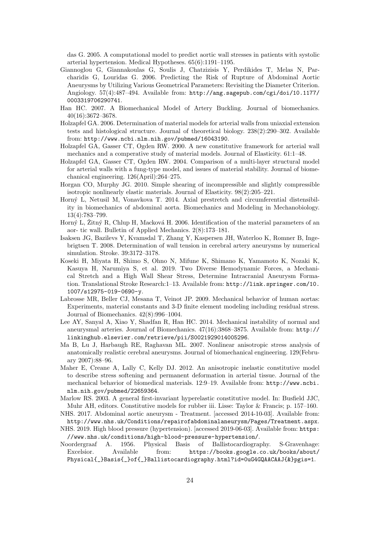das G. 2005. A computational model to predict aortic wall stresses in patients with systolic arterial hypertension. Medical Hypotheses. 65(6):1191–1195.

- <span id="page-23-2"></span>Giannoglou G, Giannakoulas G, Soulis J, Chatzizisis Y, Perdikides T, Melas N, Parcharidis G, Louridas G. 2006. Predicting the Risk of Rupture of Abdominal Aortic Aneurysms by Utilizing Various Geometrical Parameters: Revisiting the Diameter Criterion. Angiology. 57(4):487–494. Available from: [http://ang.sagepub.com/cgi/doi/10.1177/](http://ang.sagepub.com/cgi/doi/10.1177/0003319706290741) [0003319706290741](http://ang.sagepub.com/cgi/doi/10.1177/0003319706290741).
- <span id="page-23-5"></span>Han HC. 2007. A Biomechanical Model of Artery Buckling. Journal of biomechanics. 40(16):3672–3678.
- <span id="page-23-10"></span>Holzapfel GA. 2006. Determination of material models for arterial walls from uniaxial extension tests and histological structure. Journal of theoretical biology. 238(2):290–302. Available from: <http://www.ncbi.nlm.nih.gov/pubmed/16043190>.
- <span id="page-23-7"></span>Holzapfel GA, Gasser CT, Ogden RW. 2000. A new constitutive framework for arterial wall mechanics and a comperative study of material models. Journal of Elasticity. 61:1–48.
- <span id="page-23-3"></span>Holzapfel GA, Gasser CT, Ogden RW. 2004. Comparison of a multi-layer structural model for arterial walls with a fung-type model, and issues of material stability. Journal of biomechanical engineering. 126(April):264–275.
- <span id="page-23-17"></span>Horgan CO, Murphy JG. 2010. Simple shearing of incompressible and slightly compressible isotropic nonlinearly elastic materials. Journal of Elasticity. 98(2):205–221.
- <span id="page-23-12"></span>Horn´y L, Netusil M, Vonavkova T. 2014. Axial prestretch and circumferential distensibility in biomechanics of abdominal aorta. Biomechanics and Modeling in Mechanobiology. 13(4):783–799.
- <span id="page-23-13"></span>Horný L, Žitný R, Chlup H, Macková H. 2006. Identification of the material parameters of an aor- tic wall. Bulletin of Applied Mechanics. 2(8):173–181.
- <span id="page-23-1"></span>Isaksen JG, Bazilevs Y, Kvamsdal T, Zhang Y, Kaspersen JH, Waterloo K, Romner B, Ingebrigtsen T. 2008. Determination of wall tension in cerebral artery aneurysms by numerical simulation. Stroke. 39:3172–3178.
- <span id="page-23-16"></span>Koseki H, Miyata H, Shimo S, Ohno N, Mifune K, Shimano K, Yamamoto K, Nozaki K, Kasuya H, Narumiya S, et al. 2019. Two Diverse Hemodynamic Forces, a Mechanical Stretch and a High Wall Shear Stress, Determine Intracranial Aneurysm Formation. Translational Stroke Research:1–13. Available from: [http://link.springer.com/10.](http://link.springer.com/10.1007/s12975-019-0690-y) [1007/s12975-019-0690-y](http://link.springer.com/10.1007/s12975-019-0690-y).
- <span id="page-23-6"></span>Labrosse MR, Beller CJ, Mesana T, Veinot JP. 2009. Mechanical behavior of human aortas: Experiments, material constants and 3-D finite element modeling including residual stress. Journal of Biomechanics. 42(8):996–1004.
- <span id="page-23-4"></span>Lee AY, Sanyal A, Xiao Y, Shadfan R, Han HC. 2014. Mechanical instability of normal and aneurysmal arteries. Journal of Biomechanics. 47(16):3868–3875. Available from: [http://](http://linkinghub.elsevier.com/retrieve/pii/S0021929014005296) [linkinghub.elsevier.com/retrieve/pii/S0021929014005296](http://linkinghub.elsevier.com/retrieve/pii/S0021929014005296).
- <span id="page-23-0"></span>Ma B, Lu J, Harbaugh RE, Raghavan ML. 2007. Nonlinear anisotropic stress analysis of anatomically realistic cerebral aneurysms. Journal of biomechanical engineering. 129(February 2007):88–96.
- <span id="page-23-8"></span>Maher E, Creane A, Lally C, Kelly DJ. 2012. An anisotropic inelastic constitutive model to describe stress softening and permanent deformation in arterial tissue. Journal of the mechanical behavior of biomedical materials. 12:9–19. Available from: [http://www.ncbi.](http://www.ncbi.nlm.nih.gov/pubmed/22659364) [nlm.nih.gov/pubmed/22659364](http://www.ncbi.nlm.nih.gov/pubmed/22659364).
- <span id="page-23-11"></span>Marlow RS. 2003. A general first-invariant hyperelastic constitutive model. In: Busfield JJC, Muhr AH, editors. Constitutive models for rubber iii. Lisse: Taylor & Francis; p. 157–160.
- <span id="page-23-15"></span>NHS. 2017. Abdominal aortic aneurysm - Treatment. [accessed 2014-10-03]. Available from: <http://www.nhs.uk/Conditions/repairofabdominalaneurysm/Pages/Treatment.aspx>.
- <span id="page-23-14"></span>NHS. 2019. High blood pressure (hypertension). [accessed 2019-06-03]. Available from: [https:](https://www.nhs.uk/conditions/high-blood-pressure-hypertension/) [//www.nhs.uk/conditions/high-blood-pressure-hypertension/](https://www.nhs.uk/conditions/high-blood-pressure-hypertension/).
- <span id="page-23-9"></span>Noordergraaf A. 1956. Physical Basis of Ballistocardiography. S-Gravenhage: Excelsior. Available from: [https://books.google.co.uk/books/about/](https://books.google.co.uk/books/about/Physical{_}Basis{_}of{_}Ballistocardiography.html?id=0uG4GQAACAAJ{&}pgis=1) [Physical{\\_}Basis{\\_}of{\\_}Ballistocardiography.html?id=0uG4GQAACAAJ{&}pgis=1](https://books.google.co.uk/books/about/Physical{_}Basis{_}of{_}Ballistocardiography.html?id=0uG4GQAACAAJ{&}pgis=1).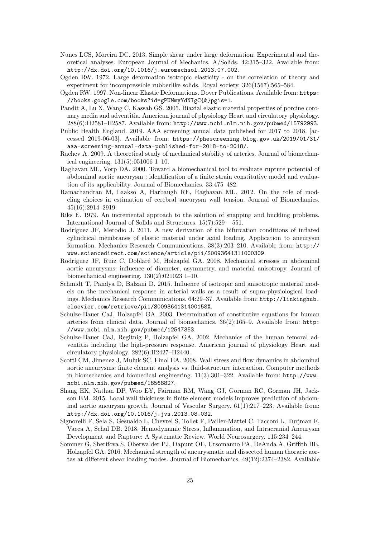- <span id="page-24-17"></span>Nunes LCS, Moreira DC. 2013. Simple shear under large deformation: Experimental and theoretical analyses. European Journal of Mechanics, A/Solids. 42:315–322. Available from: <http://dx.doi.org/10.1016/j.euromechsol.2013.07.002>.
- <span id="page-24-9"></span>Ogden RW. 1972. Large deformation isotropic elasticity - on the correlation of theory and experiment for incompressible rubberlike solids. Royal society. 326(1567):565–584.
- <span id="page-24-16"></span>Ogden RW. 1997. Non-linear Elastic Deformations. Dover Publications. Available from: [https:](https://books.google.com/books?id=gPUMmyYdNIgC{&}pgis=1) [//books.google.com/books?id=gPUMmyYdNIgC{&}pgis=1](https://books.google.com/books?id=gPUMmyYdNIgC{&}pgis=1).
- <span id="page-24-8"></span>Pandit A, Lu X, Wang C, Kassab GS. 2005. Biaxial elastic material properties of porcine coronary media and adventitia. American journal of physiology Heart and circulatory physiology. 288(6):H2581–H2587. Available from: <http://www.ncbi.nlm.nih.gov/pubmed/15792993>.
- <span id="page-24-13"></span>Public Health England. 2019. AAA screening annual data published for 2017 to 2018. [accessed 2019-06-03]. Available from: [https://phescreening.blog.gov.uk/2019/01/31/](https://phescreening.blog.gov.uk/2019/01/31/aaa-screening-annual-data-published-for-2018-to-2018/) [aaa-screening-annual-data-published-for-2018-to-2018/](https://phescreening.blog.gov.uk/2019/01/31/aaa-screening-annual-data-published-for-2018-to-2018/).
- <span id="page-24-10"></span>Rachev A. 2009. A theoretical study of mechanical stability of arteries. Journal of biomechanical engineering. 131(5):051006 1–10.
- <span id="page-24-0"></span>Raghavan ML, Vorp DA. 2000. Toward a biomechanical tool to evaluate rupture potential of abdominal aortic aneurysm : identification of a finite strain constitutive model and evaluation of its applicability. Journal of Biomechanics. 33:475–482.
- <span id="page-24-6"></span>Ramachandran M, Laakso A, Harbaugh RE, Raghavan ML. 2012. On the role of modeling choices in estimation of cerebral aneurysm wall tension. Journal of Biomechanics. 45(16):2914–2919.
- <span id="page-24-7"></span>Riks E. 1979. An incremental approach to the solution of snapping and buckling problems. International Journal of Solids and Structures. 15(7):529 – 551.
- <span id="page-24-5"></span>Rodríguez JF, Merodio J. 2011. A new derivation of the bifurcation conditions of inflated cylindrical membranes of elastic material under axial loading. Application to aneurysm formation. Mechanics Research Communications. 38(3):203–210. Available from: [http://](http://www.sciencedirect.com/science/article/pii/S0093641311000309) [www.sciencedirect.com/science/article/pii/S0093641311000309](http://www.sciencedirect.com/science/article/pii/S0093641311000309).
- <span id="page-24-4"></span>Rodríguez JF, Ruiz C, Doblaré M, Holzapfel GA. 2008. Mechanical stresses in abdominal aortic aneurysms: influence of diameter, asymmetry, and material anisotropy. Journal of biomechanical engineering. 130(2):021023 1–10.
- <span id="page-24-3"></span>Schmidt T, Pandya D, Balzani D. 2015. Influence of isotropic and anisotropic material models on the mechanical response in arterial walls as a result of supra-physiological loadings. Mechanics Research Communications. 64:29–37. Available from: [http://linkinghub.](http://linkinghub.elsevier.com/retrieve/pii/S009364131400158X) [elsevier.com/retrieve/pii/S009364131400158X](http://linkinghub.elsevier.com/retrieve/pii/S009364131400158X).
- <span id="page-24-12"></span>Schulze-Bauer CaJ, Holzapfel GA. 2003. Determination of constitutive equations for human arteries from clinical data. Journal of biomechanics.  $36(2)$ :165–9. Available from: [http:](http://www.ncbi.nlm.nih.gov/pubmed/12547353) [//www.ncbi.nlm.nih.gov/pubmed/12547353](http://www.ncbi.nlm.nih.gov/pubmed/12547353).
- <span id="page-24-11"></span>Schulze-Bauer CaJ, Regitnig P, Holzapfel GA. 2002. Mechanics of the human femoral adventitia including the high-pressure response. American journal of physiology Heart and circulatory physiology. 282(6):H2427–H2440.
- <span id="page-24-1"></span>Scotti CM, Jimenez J, Muluk SC, Finol EA. 2008. Wall stress and flow dynamics in abdominal aortic aneurysms: finite element analysis vs. fluid-structure interaction. Computer methods in biomechanics and biomedical engineering.  $11(3):301-322$ . Available from:  $http://www.$ [ncbi.nlm.nih.gov/pubmed/18568827](http://www.ncbi.nlm.nih.gov/pubmed/18568827).
- <span id="page-24-2"></span>Shang EK, Nathan DP, Woo EY, Fairman RM, Wang GJ, Gorman RC, Gorman JH, Jackson BM. 2015. Local wall thickness in finite element models improves prediction of abdominal aortic aneurysm growth. Journal of Vascular Surgery. 61(1):217–223. Available from: <http://dx.doi.org/10.1016/j.jvs.2013.08.032>.
- <span id="page-24-14"></span>Signorelli F, Sela S, Gesualdo L, Chevrel S, Tollet F, Pailler-Mattei C, Tacconi L, Turjman F, Vacca A, Schul DB. 2018. Hemodynamic Stress, Inflammation, and Intracranial Aneurysm Development and Rupture: A Systematic Review. World Neurosurgery. 115:234–244.
- <span id="page-24-15"></span>Sommer G, Sherifova S, Oberwalder PJ, Dapunt OE, Ursomanno PA, DeAnda A, Griffith BE, Holzapfel GA. 2016. Mechanical strength of aneurysmatic and dissected human thoracic aortas at different shear loading modes. Journal of Biomechanics. 49(12):2374–2382. Available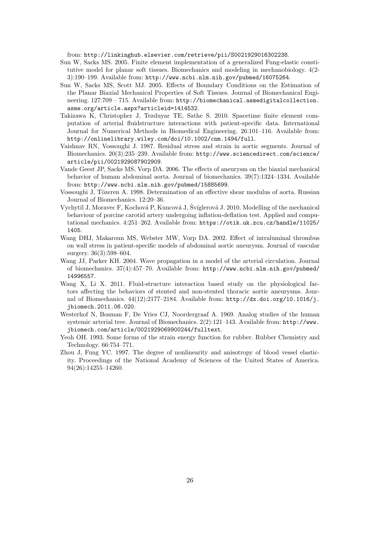from: <http://linkinghub.elsevier.com/retrieve/pii/S0021929016302238>.

- <span id="page-25-7"></span>Sun W, Sacks MS. 2005. Finite element implementation of a generalized Fung-elastic constitutive model for planar soft tissues. Biomechanics and modeling in mechanobiology. 4(2- 3):190–199. Available from: <http://www.ncbi.nlm.nih.gov/pubmed/16075264>.
- <span id="page-25-2"></span>Sun W, Sacks MS, Scott MJ. 2005. Effects of Boundary Conditions on the Estimation of the Planar Biaxial Mechanical Properties of Soft Tissues. Journal of Biomechanical Engineering. 127:709 – 715. Available from: [http://biomechanical.asmedigitalcollection.](http://biomechanical.asmedigitalcollection.asme.org/article.aspx?articleid=1414532) [asme.org/article.aspx?articleid=1414532](http://biomechanical.asmedigitalcollection.asme.org/article.aspx?articleid=1414532).
- <span id="page-25-4"></span>Takizawa K, Christopher J, Tezduyar TE, Sathe S. 2010. Spacetime finite element computation of arterial fluidstructure interactions with patient-specific data. International Journal for Numerical Methods in Biomedical Engineering. 26:101–116. Available from: <http://onlinelibrary.wiley.com/doi/10.1002/cnm.1494/full>.
- <span id="page-25-3"></span>Vaishnav RN, Vossoughi J. 1987. Residual stress and strain in aortic segments. Journal of Biomechanics. 20(3):235–239. Available from: [http://www.sciencedirect.com/science/](http://www.sciencedirect.com/science/article/pii/0021929087902909) [article/pii/0021929087902909](http://www.sciencedirect.com/science/article/pii/0021929087902909).
- <span id="page-25-9"></span>Vande Geest JP, Sacks MS, Vorp DA. 2006. The effects of aneurysm on the biaxial mechanical behavior of human abdominal aorta. Journal of biomechanics. 39(7):1324–1334. Available from: <http://www.ncbi.nlm.nih.gov/pubmed/15885699>.
- <span id="page-25-11"></span>Vossoughi J, Tözeren A. 1998. Determination of an effective shear modulus of aorta. Russian Journal of Biomechanics. 12:20–36.
- <span id="page-25-10"></span>Vychytil J, Moravec F, Kochová P, Kuncová J, Švíglerová J. 2010. Modelling of the mechanical behaviour of porcine carotid artery undergoing inflation-deflation test. Applied and computational mechanics. 4:251–262. Available from: [https://otik.uk.zcu.cz/handle/11025/](https://otik.uk.zcu.cz/handle/11025/1405) [1405](https://otik.uk.zcu.cz/handle/11025/1405).
- <span id="page-25-0"></span>Wang DHJ, Makaroun MS, Webster MW, Vorp DA. 2002. Effect of intraluminal thrombus on wall stress in patient-specific models of abdominal aortic aneurysm. Journal of vascular surgery.  $36(3):598-604$ .
- <span id="page-25-6"></span>Wang JJ, Parker KH. 2004. Wave propagation in a model of the arterial circulation. Journal of biomechanics. 37(4):457–70. Available from: [http://www.ncbi.nlm.nih.gov/pubmed/](http://www.ncbi.nlm.nih.gov/pubmed/14996557) [14996557](http://www.ncbi.nlm.nih.gov/pubmed/14996557).
- <span id="page-25-1"></span>Wang X, Li X. 2011. Fluid-structure interaction based study on the physiological factors affecting the behaviors of stented and non-stented thoracic aortic aneurysms. Journal of Biomechanics.  $44(12):2177-2184$ . Available from:  $http://dx.doi.org/10.1016/i$ . [jbiomech.2011.06.020](http://dx.doi.org/10.1016/j.jbiomech.2011.06.020).
- <span id="page-25-5"></span>Westerhof N, Bosman F, De Vries CJ, Noordergraaf A. 1969. Analog studies of the human systemic arterial tree. Journal of Biomechanics. 2(2):121–143. Available from: [http://www.](http://www.jbiomech.com/article/0021929069900244/fulltext) [jbiomech.com/article/0021929069900244/fulltext](http://www.jbiomech.com/article/0021929069900244/fulltext).
- <span id="page-25-8"></span>Yeoh OH. 1993. Some forms of the strain energy function for rubber. Rubber Chemistry and Technology. 66:754–771.
- <span id="page-25-12"></span>Zhou J, Fung YC. 1997. The degree of nonlinearity and anisotropy of blood vessel elasticity. Proceedings of the National Academy of Sciences of the United States of America. 94(26):14255–14260.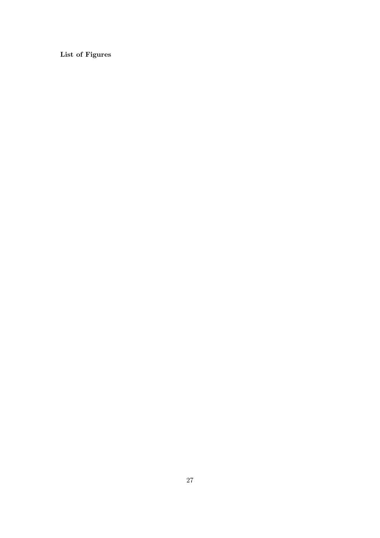List of Figures